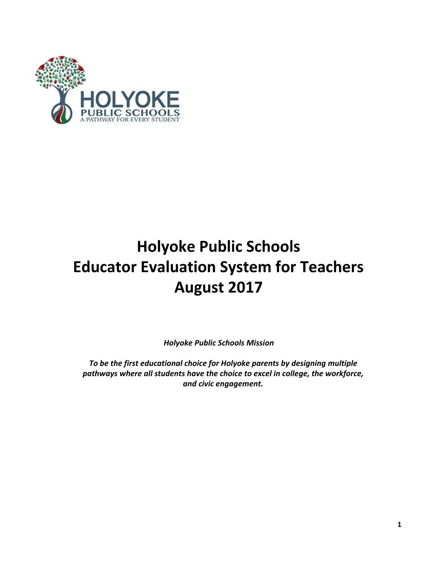

# **Holyoke Public Schools Educator Evaluation System for Teachers August 2017**

*Holyoke Public Schools Mission*

*To be the first educational choice for Holyoke parents by designing multiple pathways where all students have the choice to excel in college, the workforce, and civic engagement.*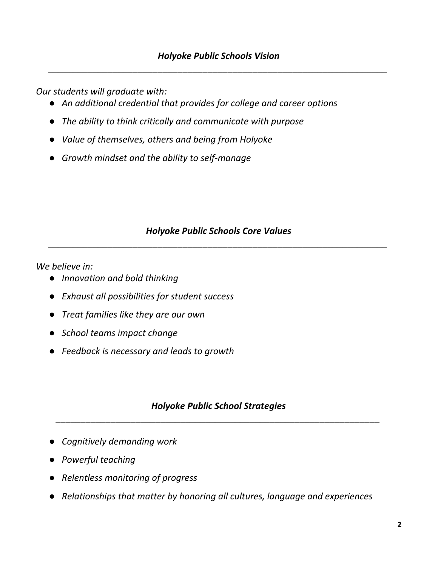*Our students will graduate with:*

- *● An additional credential that provides for college and career options*
- *● The ability to think critically and communicate with purpose*
- *● Value of themselves, others and being from Holyoke*
- *● Growth mindset and the ability to self-manage*

# *Holyoke Public Schools Core Values \_\_\_\_\_\_\_\_\_\_\_\_\_\_\_\_\_\_\_\_\_\_\_\_\_\_\_\_\_\_\_\_\_\_\_\_\_\_\_\_\_\_\_\_\_\_\_\_\_\_\_\_\_\_\_\_\_\_\_\_\_\_\_\_\_\_\_\_*

*We believe in:*

- *● Innovation and bold thinking*
- *● Exhaust all possibilities for student success*
- *● Treat families like they are our own*
- *● School teams impact change*
- *● Feedback is necessary and leads to growth*

# *Holyoke Public School Strategies \_\_\_\_\_\_\_\_\_\_\_\_\_\_\_\_\_\_\_\_\_\_\_\_\_\_\_\_\_\_\_\_\_\_\_\_\_\_\_\_\_\_\_\_\_\_\_\_\_\_\_\_\_\_\_\_\_\_\_\_\_\_\_\_\_*

- *● Cognitively demanding work*
- *● Powerful teaching*
- *● Relentless monitoring of progress*
- *● Relationships that matter by honoring all cultures, language and experiences*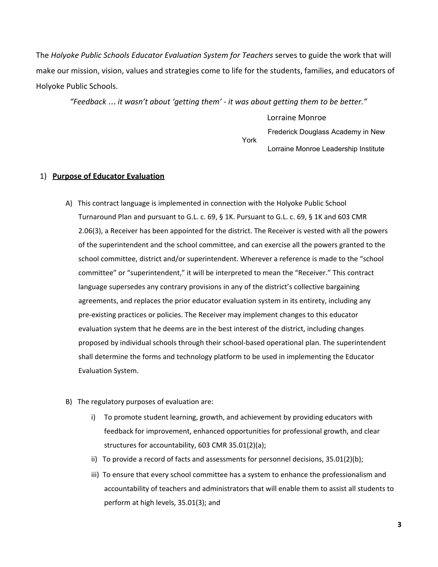The *Holyoke Public Schools Educator Evaluation System for Teachers* serves to guide the work that will make our mission, vision, values and strategies come to life for the students, families, and educators of Holyoke Public Schools.

*"Feedback* … *it wasn't about 'getting them' - it was about getting them to be better."*

Lorraine Monroe Frederick Douglass Academy in New York Lorraine Monroe Leadership Institute

## 1) **Purpose of Educator Evaluation**

- A) This contract language is implemented in connection with the Holyoke Public School Turnaround Plan and pursuant to G.L. c. 69, § 1K. Pursuant to G.L. c. 69, § 1K and 603 CMR 2.06(3), a Receiver has been appointed for the district. The Receiver is vested with all the powers of the superintendent and the school committee, and can exercise all the powers granted to the school committee, district and/or superintendent. Wherever a reference is made to the "school committee" or "superintendent," it will be interpreted to mean the "Receiver." This contract language supersedes any contrary provisions in any of the district's collective bargaining agreements, and replaces the prior educator evaluation system in its entirety, including any pre-existing practices or policies. The Receiver may implement changes to this educator evaluation system that he deems are in the best interest of the district, including changes proposed by individual schools through their school-based operational plan. The superintendent shall determine the forms and technology platform to be used in implementing the Educator Evaluation System.
- B) The regulatory purposes of evaluation are:
	- i) To promote student learning, growth, and achievement by providing educators with feedback for improvement, enhanced opportunities for professional growth, and clear structures for accountability, 603 CMR 35.01(2)(a);
	- ii) To provide a record of facts and assessments for personnel decisions,  $35.01(2)(b)$ ;
	- iii) To ensure that every school committee has a system to enhance the professionalism and accountability of teachers and administrators that will enable them to assist all students to perform at high levels, 35.01(3); and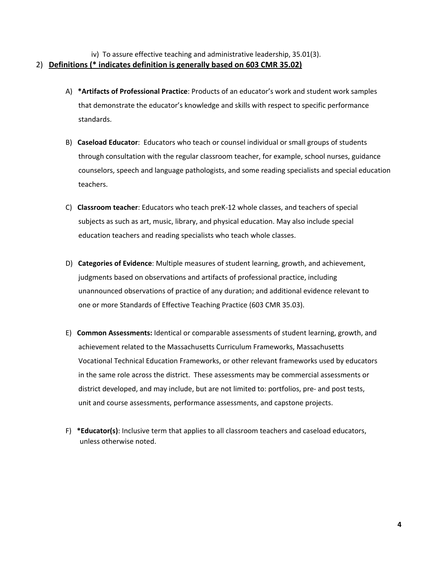iv) To assure effective teaching and administrative leadership, 35.01(3). 2) **Definitions (\* indicates definition is generally based on 603 CMR 35.02)**

- A) **\*Artifacts of Professional Practice**: Products of an educator's work and student work samples that demonstrate the educator's knowledge and skills with respect to specific performance standards.
- B) **Caseload Educator**: Educators who teach or counsel individual or small groups of students through consultation with the regular classroom teacher, for example, school nurses, guidance counselors, speech and language pathologists, and some reading specialists and special education teachers.
- C) **Classroom teacher**: Educators who teach preK-12 whole classes, and teachers of special subjects as such as art, music, library, and physical education. May also include special education teachers and reading specialists who teach whole classes.
- D) **Categories of Evidence**: Multiple measures of student learning, growth, and achievement, judgments based on observations and artifacts of professional practice, including unannounced observations of practice of any duration; and additional evidence relevant to one or more Standards of Effective Teaching Practice (603 CMR 35.03).
- E) **Common Assessments:** Identical or comparable assessments of student learning, growth, and achievement related to the Massachusetts Curriculum Frameworks, Massachusetts Vocational Technical Education Frameworks, or other relevant frameworks used by educators in the same role across the district. These assessments may be commercial assessments or district developed, and may include, but are not limited to: portfolios, pre- and post tests, unit and course assessments, performance assessments, and capstone projects.
- F) **\*Educator(s)**: Inclusive term that applies to all classroom teachers and caseload educators, unless otherwise noted.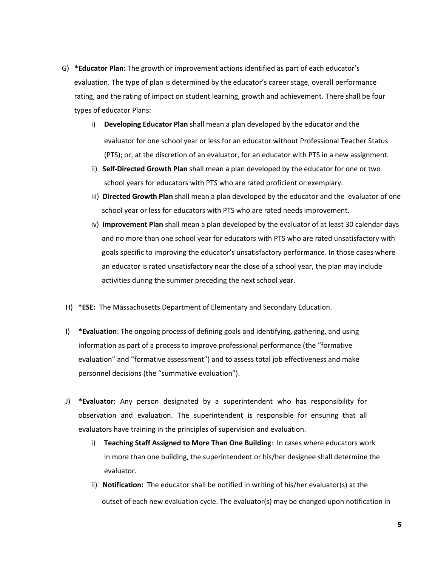- G) **\*Educator Plan**: The growth or improvement actions identified as part of each educator's evaluation. The type of plan is determined by the educator's career stage, overall performance rating, and the rating of impact on student learning, growth and achievement. There shall be four types of educator Plans:
	- i) **Developing Educator Plan** shall mean a plan developed by the educator and the evaluator for one school year or less for an educator without Professional Teacher Status (PTS); or, at the discretion of an evaluator, for an educator with PTS in a new assignment.
	- ii) **Self-Directed Growth Plan** shall mean a plan developed by the educator for one or two school years for educators with PTS who are rated proficient or exemplary.
	- iii) **Directed Growth Plan** shall mean a plan developed by the educator and the evaluator of one school year or less for educators with PTS who are rated needs improvement.
	- iv) **Improvement Plan** shall mean a plan developed by the evaluator of at least 30 calendar days and no more than one school year for educators with PTS who are rated unsatisfactory with goals specific to improving the educator's unsatisfactory performance. In those cases where an educator is rated unsatisfactory near the close of a school year, the plan may include activities during the summer preceding the next school year.
- H) **\*ESE:** The Massachusetts Department of Elementary and Secondary Education.
- I) **\*Evaluation**: The ongoing process of defining goals and identifying, gathering, and using information as part of a process to improve professional performance (the "formative evaluation" and "formative assessment") and to assess total job effectiveness and make personnel decisions (the "summative evaluation").
- J) **\*Evaluator**: Any person designated by a superintendent who has responsibility for observation and evaluation. The superintendent is responsible for ensuring that all evaluators have training in the principles of supervision and evaluation.
	- i) **Teaching Staff Assigned to More Than One Building**: In cases where educators work in more than one building, the superintendent or his/her designee shall determine the evaluator.
	- ii) **Notification:** The educator shall be notified in writing of his/her evaluator(s) at the outset of each new evaluation cycle. The evaluator(s) may be changed upon notification in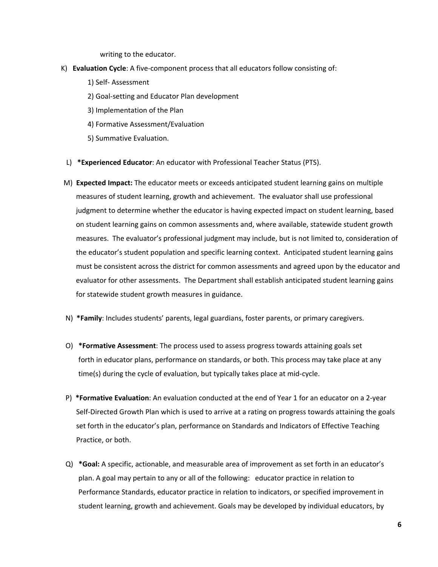writing to the educator.

- K) **Evaluation Cycle**: A five-component process that all educators follow consisting of:
	- 1) Self- Assessment
	- 2) Goal-setting and Educator Plan development
	- 3) Implementation of the Plan
	- 4) Formative Assessment/Evaluation
	- 5) Summative Evaluation.
	- L) **\*Experienced Educator**: An educator with Professional Teacher Status (PTS).
- M) **Expected Impact:** The educator meets or exceeds anticipated student learning gains on multiple measures of student learning, growth and achievement. The evaluator shall use professional judgment to determine whether the educator is having expected impact on student learning, based on student learning gains on common assessments and, where available, statewide student growth measures. The evaluator's professional judgment may include, but is not limited to, consideration of the educator's student population and specific learning context. Anticipated student learning gains must be consistent across the district for common assessments and agreed upon by the educator and evaluator for other assessments. The Department shall establish anticipated student learning gains for statewide student growth measures in guidance.
- N) **\*Family**: Includes students' parents, legal guardians, foster parents, or primary caregivers.
- O) **\*Formative Assessment**: The process used to assess progress towards attaining goals set forth in educator plans, performance on standards, or both. This process may take place at any time(s) during the cycle of evaluation, but typically takes place at mid-cycle.
- P) **\*Formative Evaluation**: An evaluation conducted at the end of Year 1 for an educator on a 2-year Self-Directed Growth Plan which is used to arrive at a rating on progress towards attaining the goals set forth in the educator's plan, performance on Standards and Indicators of Effective Teaching Practice, or both.
- Q) **\*Goal:** A specific, actionable, and measurable area of improvement as set forth in an educator's plan. A goal may pertain to any or all of the following: educator practice in relation to Performance Standards, educator practice in relation to indicators, or specified improvement in student learning, growth and achievement. Goals may be developed by individual educators, by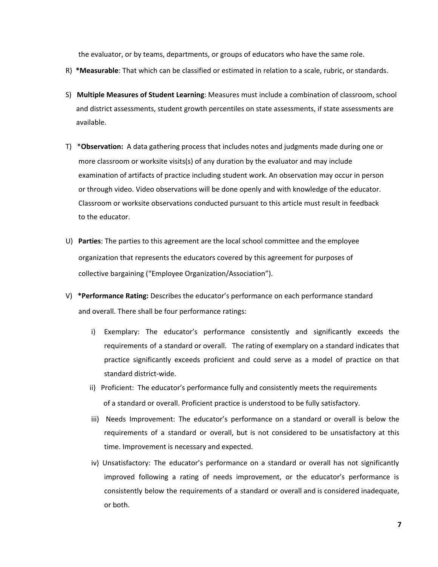the evaluator, or by teams, departments, or groups of educators who have the same role.

- R) **\*Measurable**: That which can be classified or estimated in relation to a scale, rubric, or standards.
- S) **Multiple Measures of Student Learning**: Measures must include a combination of classroom, school and district assessments, student growth percentiles on state assessments, if state assessments are available.
- T) \***Observation:** A data gathering process that includes notes and judgments made during one or more classroom or worksite visits(s) of any duration by the evaluator and may include examination of artifacts of practice including student work. An observation may occur in person or through video. Video observations will be done openly and with knowledge of the educator. Classroom or worksite observations conducted pursuant to this article must result in feedback to the educator.
- U) **Parties**: The parties to this agreement are the local school committee and the employee organization that represents the educators covered by this agreement for purposes of collective bargaining ("Employee Organization/Association").
- V) **\*Performance Rating:** Describes the educator's performance on each performance standard and overall. There shall be four performance ratings:
	- i) Exemplary: The educator's performance consistently and significantly exceeds the requirements of a standard or overall. The rating of exemplary on a standard indicates that practice significantly exceeds proficient and could serve as a model of practice on that standard district-wide.
	- ii) Proficient: The educator's performance fully and consistently meets the requirements of a standard or overall. Proficient practice is understood to be fully satisfactory.
	- iii) Needs Improvement: The educator's performance on a standard or overall is below the requirements of a standard or overall, but is not considered to be unsatisfactory at this time. Improvement is necessary and expected.
	- iv) Unsatisfactory: The educator's performance on a standard or overall has not significantly improved following a rating of needs improvement, or the educator's performance is consistently below the requirements of a standard or overall and is considered inadequate, or both.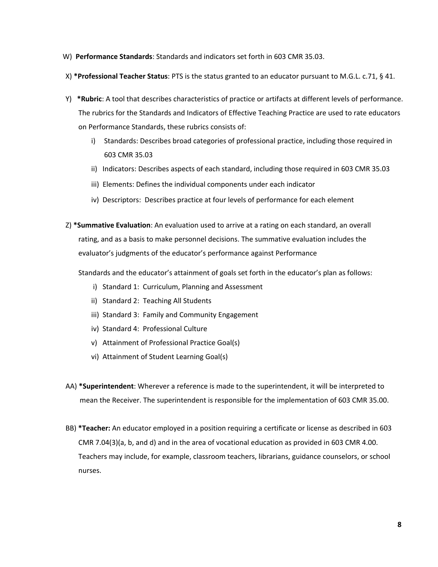- W) **Performance Standards**: Standards and indicators set forth in 603 CMR 35.03.
- X) **\*Professional Teacher Status**: PTS is the status granted to an educator pursuant to M.G.L. c.71, § 41.
- Y) **\*Rubric**: A tool that describes characteristics of practice or artifacts at different levels of performance. The rubrics for the Standards and Indicators of Effective Teaching Practice are used to rate educators on Performance Standards, these rubrics consists of:
	- i) Standards: Describes broad categories of professional practice, including those required in 603 CMR 35.03
	- ii) Indicators: Describes aspects of each standard, including those required in 603 CMR 35.03
	- iii) Elements: Defines the individual components under each indicator
	- iv) Descriptors: Describes practice at four levels of performance for each element
- Z) **\*Summative Evaluation**: An evaluation used to arrive at a rating on each standard, an overall rating, and as a basis to make personnel decisions. The summative evaluation includes the evaluator's judgments of the educator's performance against Performance
	- Standards and the educator's attainment of goals set forth in the educator's plan as follows:
		- i) Standard 1: Curriculum, Planning and Assessment
		- ii) Standard 2: Teaching All Students
		- iii) Standard 3: Family and Community Engagement
		- iv) Standard 4: Professional Culture
		- v) Attainment of Professional Practice Goal(s)
		- vi) Attainment of Student Learning Goal(s)
- AA) **\*Superintendent**: Wherever a reference is made to the superintendent, it will be interpreted to mean the Receiver. The superintendent is responsible for the implementation of 603 CMR 35.00.
- BB) **\*Teacher:** An educator employed in a position requiring a certificate or license as described in 603 CMR 7.04(3)(a, b, and d) and in the area of vocational education as provided in 603 CMR 4.00. Teachers may include, for example, classroom teachers, librarians, guidance counselors, or school nurses.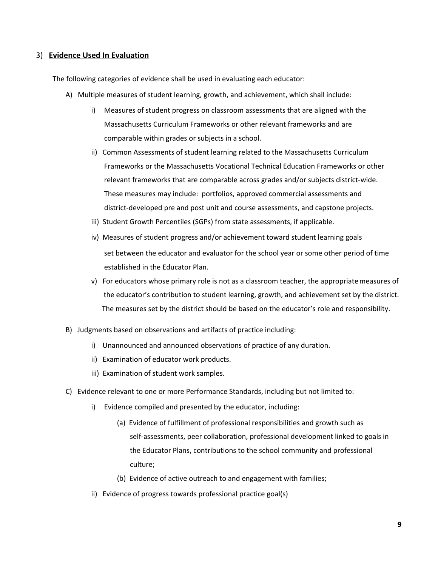#### 3) **Evidence Used In Evaluation**

The following categories of evidence shall be used in evaluating each educator:

- A) Multiple measures of student learning, growth, and achievement, which shall include:
	- i) Measures of student progress on classroom assessments that are aligned with the Massachusetts Curriculum Frameworks or other relevant frameworks and are comparable within grades or subjects in a school.
	- ii) Common Assessments of student learning related to the Massachusetts Curriculum Frameworks or the Massachusetts Vocational Technical Education Frameworks or other relevant frameworks that are comparable across grades and/or subjects district-wide. These measures may include: portfolios, approved commercial assessments and district-developed pre and post unit and course assessments, and capstone projects.
	- iii) Student Growth Percentiles (SGPs) from state assessments, if applicable.
	- iv) Measures of student progress and/or achievement toward student learning goals set between the educator and evaluator for the school year or some other period of time established in the Educator Plan.
	- v) For educators whose primary role is not as a classroom teacher, the appropriatemeasures of the educator's contribution to student learning, growth, and achievement set by the district. The measures set by the district should be based on the educator's role and responsibility.
- B) Judgments based on observations and artifacts of practice including:
	- i) Unannounced and announced observations of practice of any duration.
	- ii) Examination of educator work products.
	- iii) Examination of student work samples.
- C) Evidence relevant to one or more Performance Standards, including but not limited to:
	- i) Evidence compiled and presented by the educator, including:
		- (a) Evidence of fulfillment of professional responsibilities and growth such as self-assessments, peer collaboration, professional development linked to goals in the Educator Plans, contributions to the school community and professional culture;
		- (b) Evidence of active outreach to and engagement with families;
	- ii) Evidence of progress towards professional practice goal(s)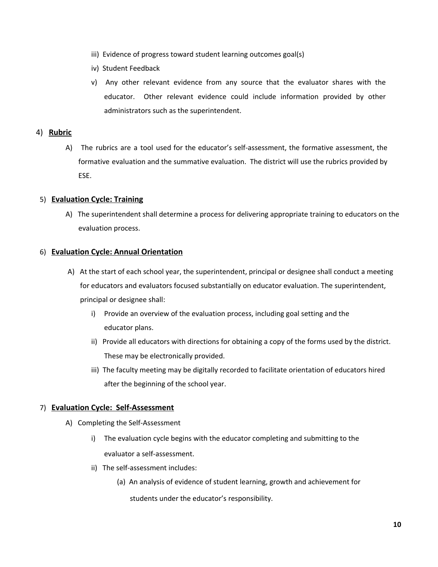- iii) Evidence of progress toward student learning outcomes goal(s)
- iv) Student Feedback
- v) Any other relevant evidence from any source that the evaluator shares with the educator. Other relevant evidence could include information provided by other administrators such as the superintendent.

#### 4) **Rubric**

A) The rubrics are a tool used for the educator's self-assessment, the formative assessment, the formative evaluation and the summative evaluation. The district will use the rubrics provided by ESE.

#### 5) **Evaluation Cycle: Training**

A) The superintendent shall determine a process for delivering appropriate training to educators on the evaluation process.

#### 6) **Evaluation Cycle: Annual Orientation**

- A) At the start of each school year, the superintendent, principal or designee shall conduct a meeting for educators and evaluators focused substantially on educator evaluation. The superintendent, principal or designee shall:
	- i) Provide an overview of the evaluation process, including goal setting and the educator plans.
	- ii) Provide all educators with directions for obtaining a copy of the forms used by the district. These may be electronically provided.
	- iii) The faculty meeting may be digitally recorded to facilitate orientation of educators hired after the beginning of the school year.

#### 7) **Evaluation Cycle: Self-Assessment**

- A) Completing the Self-Assessment
	- i) The evaluation cycle begins with the educator completing and submitting to the evaluator a self-assessment.
	- ii) The self-assessment includes:
		- (a) An analysis of evidence of student learning, growth and achievement for

students under the educator's responsibility.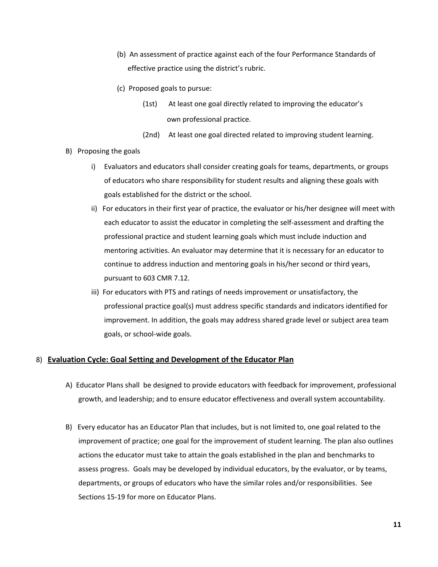- (b) An assessment of practice against each of the four Performance Standards of effective practice using the district's rubric.
- (c) Proposed goals to pursue:
	- (1st) At least one goal directly related to improving the educator's own professional practice.
	- (2nd) At least one goal directed related to improving student learning.
- B) Proposing the goals
	- i) Evaluators and educators shall consider creating goals for teams, departments, or groups of educators who share responsibility for student results and aligning these goals with goals established for the district or the school.
	- ii) For educators in their first year of practice, the evaluator or his/her designee will meet with each educator to assist the educator in completing the self-assessment and drafting the professional practice and student learning goals which must include induction and mentoring activities. An evaluator may determine that it is necessary for an educator to continue to address induction and mentoring goals in his/her second or third years, pursuant to 603 CMR 7.12.
	- iii) For educators with PTS and ratings of needs improvement or unsatisfactory, the professional practice goal(s) must address specific standards and indicators identified for improvement. In addition, the goals may address shared grade level or subject area team goals, or school-wide goals.

#### 8) **Evaluation Cycle: Goal Setting and Development of the Educator Plan**

- A) Educator Plans shall be designed to provide educators with feedback for improvement, professional growth, and leadership; and to ensure educator effectiveness and overall system accountability.
- B) Every educator has an Educator Plan that includes, but is not limited to, one goal related to the improvement of practice; one goal for the improvement of student learning. The plan also outlines actions the educator must take to attain the goals established in the plan and benchmarks to assess progress. Goals may be developed by individual educators, by the evaluator, or by teams, departments, or groups of educators who have the similar roles and/or responsibilities. See Sections 15-19 for more on Educator Plans.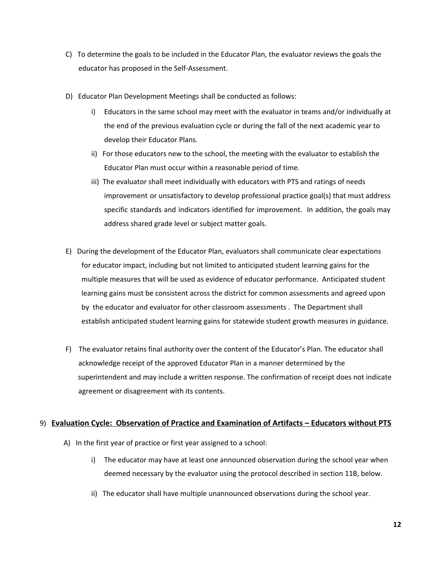- C) To determine the goals to be included in the Educator Plan, the evaluator reviews the goals the educator has proposed in the Self-Assessment.
- D) Educator Plan Development Meetings shall be conducted as follows:
	- i) Educators in the same school may meet with the evaluator in teams and/or individually at the end of the previous evaluation cycle or during the fall of the next academic year to develop their Educator Plans.
	- ii) For those educators new to the school, the meeting with the evaluator to establish the Educator Plan must occur within a reasonable period of time.
	- iii) The evaluator shall meet individually with educators with PTS and ratings of needs improvement or unsatisfactory to develop professional practice goal(s) that must address specific standards and indicators identified for improvement. In addition, the goals may address shared grade level or subject matter goals.
- E) During the development of the Educator Plan, evaluators shall communicate clear expectations for educator impact, including but not limited to anticipated student learning gains for the multiple measures that will be used as evidence of educator performance. Anticipated student learning gains must be consistent across the district for common assessments and agreed upon by the educator and evaluator for other classroom assessments . The Department shall establish anticipated student learning gains for statewide student growth measures in guidance.
- F) The evaluator retains final authority over the content of the Educator's Plan. The educator shall acknowledge receipt of the approved Educator Plan in a manner determined by the superintendent and may include a written response. The confirmation of receipt does not indicate agreement or disagreement with its contents.

## 9) **Evaluation Cycle: Observation of Practice and Examination of Artifacts – Educators without PTS**

- A) In the first year of practice or first year assigned to a school:
	- i) The educator may have at least one announced observation during the school year when deemed necessary by the evaluator using the protocol described in section 11B, below.
	- ii) The educator shall have multiple unannounced observations during the school year.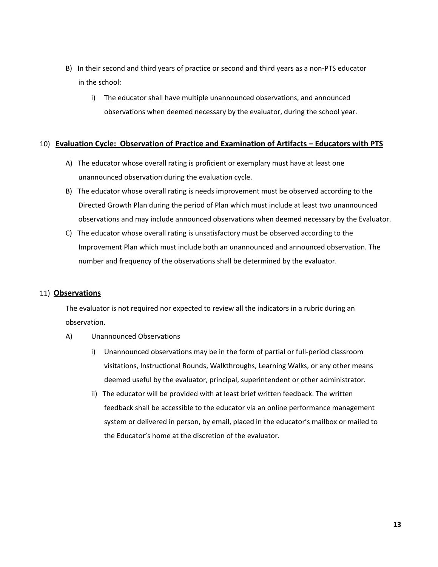- B) In their second and third years of practice or second and third years as a non-PTS educator in the school:
	- i) The educator shall have multiple unannounced observations, and announced observations when deemed necessary by the evaluator, during the school year.

#### 10) **Evaluation Cycle: Observation of Practice and Examination of Artifacts – Educators with PTS**

- A) The educator whose overall rating is proficient or exemplary must have at least one unannounced observation during the evaluation cycle.
- B) The educator whose overall rating is needs improvement must be observed according to the Directed Growth Plan during the period of Plan which must include at least two unannounced observations and may include announced observations when deemed necessary by the Evaluator.
- C) The educator whose overall rating is unsatisfactory must be observed according to the Improvement Plan which must include both an unannounced and announced observation. The number and frequency of the observations shall be determined by the evaluator.

#### 11) **Observations**

The evaluator is not required nor expected to review all the indicators in a rubric during an observation.

- A) Unannounced Observations
	- i) Unannounced observations may be in the form of partial or full-period classroom visitations, Instructional Rounds, Walkthroughs, Learning Walks, or any other means deemed useful by the evaluator, principal, superintendent or other administrator.
	- ii) The educator will be provided with at least brief written feedback. The written feedback shall be accessible to the educator via an online performance management system or delivered in person, by email, placed in the educator's mailbox or mailed to the Educator's home at the discretion of the evaluator.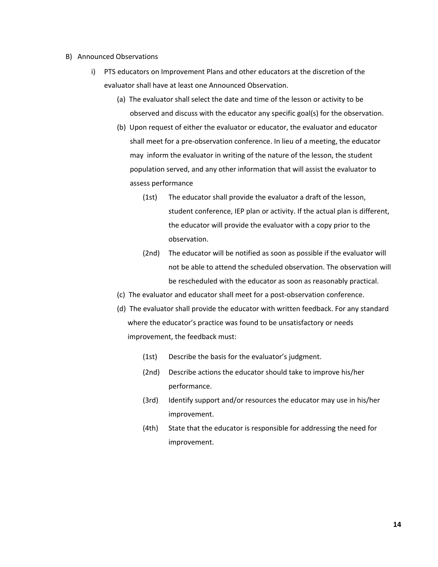- B) Announced Observations
	- i) PTS educators on Improvement Plans and other educators at the discretion of the evaluator shall have at least one Announced Observation.
		- (a) The evaluator shall select the date and time of the lesson or activity to be observed and discuss with the educator any specific goal(s) for the observation.
		- (b) Upon request of either the evaluator or educator, the evaluator and educator shall meet for a pre-observation conference. In lieu of a meeting, the educator may inform the evaluator in writing of the nature of the lesson, the student population served, and any other information that will assist the evaluator to assess performance
			- (1st) The educator shall provide the evaluator a draft of the lesson, student conference, IEP plan or activity. If the actual plan is different, the educator will provide the evaluator with a copy prior to the observation.
			- (2nd) The educator will be notified as soon as possible if the evaluator will not be able to attend the scheduled observation. The observation will be rescheduled with the educator as soon as reasonably practical.
		- (c) The evaluator and educator shall meet for a post-observation conference.
		- (d) The evaluator shall provide the educator with written feedback. For any standard where the educator's practice was found to be unsatisfactory or needs improvement, the feedback must:
			- (1st) Describe the basis for the evaluator's judgment.
			- (2nd) Describe actions the educator should take to improve his/her performance.
			- (3rd) Identify support and/or resources the educator may use in his/her improvement.
			- (4th) State that the educator is responsible for addressing the need for improvement.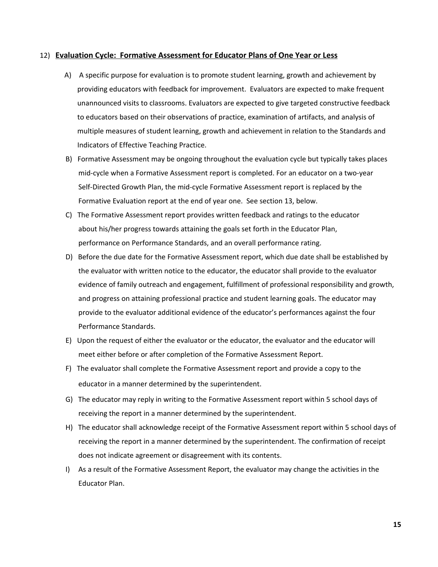#### 12) **Evaluation Cycle: Formative Assessment for Educator Plans of One Year or Less**

- A) A specific purpose for evaluation is to promote student learning, growth and achievement by providing educators with feedback for improvement. Evaluators are expected to make frequent unannounced visits to classrooms. Evaluators are expected to give targeted constructive feedback to educators based on their observations of practice, examination of artifacts, and analysis of multiple measures of student learning, growth and achievement in relation to the Standards and Indicators of Effective Teaching Practice.
- B) Formative Assessment may be ongoing throughout the evaluation cycle but typically takes places mid-cycle when a Formative Assessment report is completed. For an educator on a two-year Self-Directed Growth Plan, the mid-cycle Formative Assessment report is replaced by the Formative Evaluation report at the end of year one. See section 13, below.
- C) The Formative Assessment report provides written feedback and ratings to the educator about his/her progress towards attaining the goals set forth in the Educator Plan, performance on Performance Standards, and an overall performance rating.
- D) Before the due date for the Formative Assessment report, which due date shall be established by the evaluator with written notice to the educator, the educator shall provide to the evaluator evidence of family outreach and engagement, fulfillment of professional responsibility and growth, and progress on attaining professional practice and student learning goals. The educator may provide to the evaluator additional evidence of the educator's performances against the four Performance Standards.
- E) Upon the request of either the evaluator or the educator, the evaluator and the educator will meet either before or after completion of the Formative Assessment Report.
- F) The evaluator shall complete the Formative Assessment report and provide a copy to the educator in a manner determined by the superintendent.
- G) The educator may reply in writing to the Formative Assessment report within 5 school days of receiving the report in a manner determined by the superintendent.
- H) The educator shall acknowledge receipt of the Formative Assessment report within 5 school days of receiving the report in a manner determined by the superintendent. The confirmation of receipt does not indicate agreement or disagreement with its contents.
- I) As a result of the Formative Assessment Report, the evaluator may change the activities in the Educator Plan.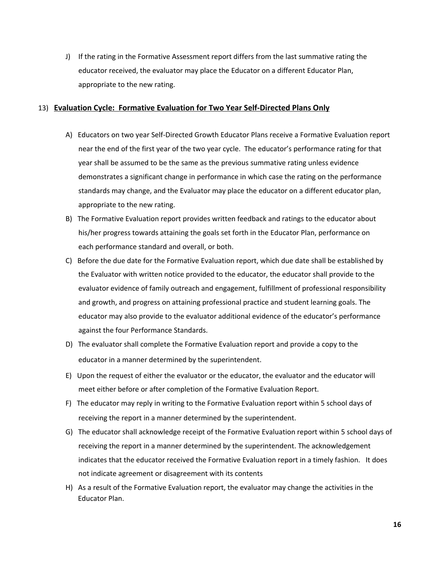J) If the rating in the Formative Assessment report differs from the last summative rating the educator received, the evaluator may place the Educator on a different Educator Plan, appropriate to the new rating.

#### 13) **Evaluation Cycle: Formative Evaluation for Two Year Self-Directed Plans Only**

- A) Educators on two year Self-Directed Growth Educator Plans receive a Formative Evaluation report near the end of the first year of the two year cycle. The educator's performance rating for that year shall be assumed to be the same as the previous summative rating unless evidence demonstrates a significant change in performance in which case the rating on the performance standards may change, and the Evaluator may place the educator on a different educator plan, appropriate to the new rating.
- B) The Formative Evaluation report provides written feedback and ratings to the educator about his/her progress towards attaining the goals set forth in the Educator Plan, performance on each performance standard and overall, or both.
- C) Before the due date for the Formative Evaluation report, which due date shall be established by the Evaluator with written notice provided to the educator, the educator shall provide to the evaluator evidence of family outreach and engagement, fulfillment of professional responsibility and growth, and progress on attaining professional practice and student learning goals. The educator may also provide to the evaluator additional evidence of the educator's performance against the four Performance Standards.
- D) The evaluator shall complete the Formative Evaluation report and provide a copy to the educator in a manner determined by the superintendent.
- E) Upon the request of either the evaluator or the educator, the evaluator and the educator will meet either before or after completion of the Formative Evaluation Report.
- F) The educator may reply in writing to the Formative Evaluation report within 5 school days of receiving the report in a manner determined by the superintendent.
- G) The educator shall acknowledge receipt of the Formative Evaluation report within 5 school days of receiving the report in a manner determined by the superintendent. The acknowledgement indicates that the educator received the Formative Evaluation report in a timely fashion. It does not indicate agreement or disagreement with its contents
- H) As a result of the Formative Evaluation report, the evaluator may change the activities in the Educator Plan.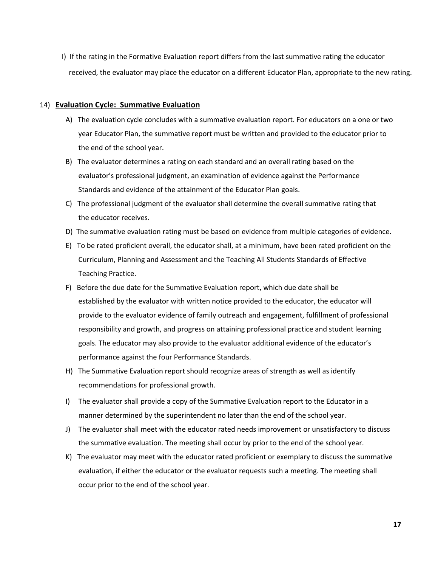I) If the rating in the Formative Evaluation report differs from the last summative rating the educator received, the evaluator may place the educator on a different Educator Plan, appropriate to the new rating.

#### 14) **Evaluation Cycle: Summative Evaluation**

- A) The evaluation cycle concludes with a summative evaluation report. For educators on a one or two year Educator Plan, the summative report must be written and provided to the educator prior to the end of the school year.
- B) The evaluator determines a rating on each standard and an overall rating based on the evaluator's professional judgment, an examination of evidence against the Performance Standards and evidence of the attainment of the Educator Plan goals.
- C) The professional judgment of the evaluator shall determine the overall summative rating that the educator receives.
- D) The summative evaluation rating must be based on evidence from multiple categories of evidence.
- E) To be rated proficient overall, the educator shall, at a minimum, have been rated proficient on the Curriculum, Planning and Assessment and the Teaching All Students Standards of Effective Teaching Practice.
- F) Before the due date for the Summative Evaluation report, which due date shall be established by the evaluator with written notice provided to the educator, the educator will provide to the evaluator evidence of family outreach and engagement, fulfillment of professional responsibility and growth, and progress on attaining professional practice and student learning goals. The educator may also provide to the evaluator additional evidence of the educator's performance against the four Performance Standards.
- H) The Summative Evaluation report should recognize areas of strength as well as identify recommendations for professional growth.
- I) The evaluator shall provide a copy of the Summative Evaluation report to the Educator in a manner determined by the superintendent no later than the end of the school year.
- J) The evaluator shall meet with the educator rated needs improvement or unsatisfactory to discuss the summative evaluation. The meeting shall occur by prior to the end of the school year.
- K) The evaluator may meet with the educator rated proficient or exemplary to discuss the summative evaluation, if either the educator or the evaluator requests such a meeting. The meeting shall occur prior to the end of the school year.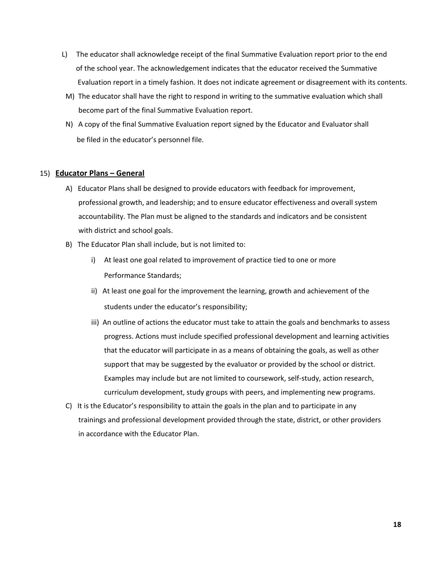- L) The educator shall acknowledge receipt of the final Summative Evaluation report prior to the end of the school year. The acknowledgement indicates that the educator received the Summative Evaluation report in a timely fashion. It does not indicate agreement or disagreement with its contents.
- M) The educator shall have the right to respond in writing to the summative evaluation which shall become part of the final Summative Evaluation report.
- N) A copy of the final Summative Evaluation report signed by the Educator and Evaluator shall be filed in the educator's personnel file.

#### 15) **Educator Plans – General**

- A) Educator Plans shall be designed to provide educators with feedback for improvement, professional growth, and leadership; and to ensure educator effectiveness and overall system accountability. The Plan must be aligned to the standards and indicators and be consistent with district and school goals.
- B) The Educator Plan shall include, but is not limited to:
	- i) At least one goal related to improvement of practice tied to one or more Performance Standards;
	- ii) At least one goal for the improvement the learning, growth and achievement of the students under the educator's responsibility;
	- iii) An outline of actions the educator must take to attain the goals and benchmarks to assess progress. Actions must include specified professional development and learning activities that the educator will participate in as a means of obtaining the goals, as well as other support that may be suggested by the evaluator or provided by the school or district. Examples may include but are not limited to coursework, self-study, action research, curriculum development, study groups with peers, and implementing new programs.
- C) It is the Educator's responsibility to attain the goals in the plan and to participate in any trainings and professional development provided through the state, district, or other providers in accordance with the Educator Plan.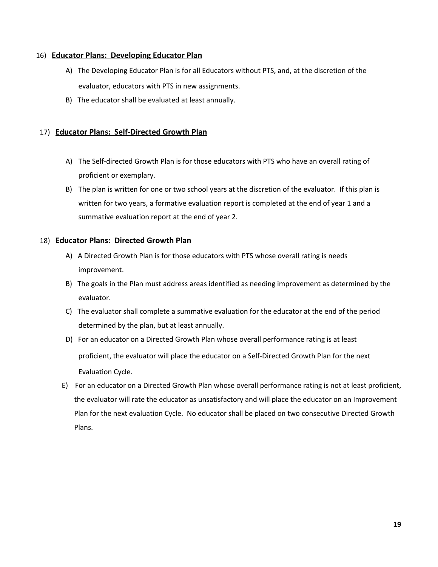#### 16) **Educator Plans: Developing Educator Plan**

- A) The Developing Educator Plan is for all Educators without PTS, and, at the discretion of the evaluator, educators with PTS in new assignments.
- B) The educator shall be evaluated at least annually.

# 17) **Educator Plans: Self-Directed Growth Plan**

- A) The Self-directed Growth Plan is for those educators with PTS who have an overall rating of proficient or exemplary.
- B) The plan is written for one or two school years at the discretion of the evaluator. If this plan is written for two years, a formative evaluation report is completed at the end of year 1 and a summative evaluation report at the end of year 2.

## 18) **Educator Plans: Directed Growth Plan**

- A) A Directed Growth Plan is for those educators with PTS whose overall rating is needs improvement.
- B) The goals in the Plan must address areas identified as needing improvement as determined by the evaluator.
- C) The evaluator shall complete a summative evaluation for the educator at the end of the period determined by the plan, but at least annually.
- D) For an educator on a Directed Growth Plan whose overall performance rating is at least proficient, the evaluator will place the educator on a Self-Directed Growth Plan for the next Evaluation Cycle.
- E) For an educator on a Directed Growth Plan whose overall performance rating is not at least proficient, the evaluator will rate the educator as unsatisfactory and will place the educator on an Improvement Plan for the next evaluation Cycle. No educator shall be placed on two consecutive Directed Growth Plans.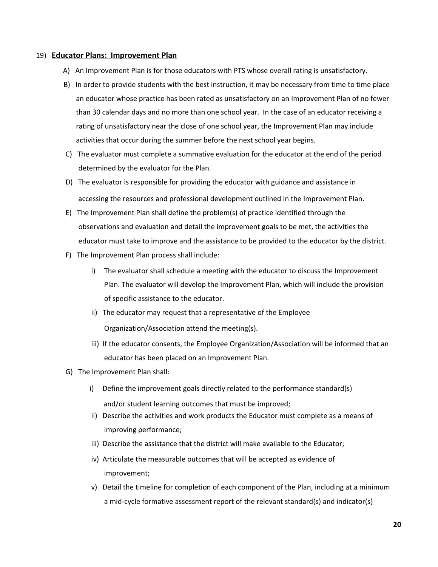#### 19) **Educator Plans: Improvement Plan**

- A) An Improvement Plan is for those educators with PTS whose overall rating is unsatisfactory.
- B) In order to provide students with the best instruction, it may be necessary from time to time place an educator whose practice has been rated as unsatisfactory on an Improvement Plan of no fewer than 30 calendar days and no more than one school year. In the case of an educator receiving a rating of unsatisfactory near the close of one school year, the Improvement Plan may include activities that occur during the summer before the next school year begins.
- C) The evaluator must complete a summative evaluation for the educator at the end of the period determined by the evaluator for the Plan.
- D) The evaluator is responsible for providing the educator with guidance and assistance in accessing the resources and professional development outlined in the Improvement Plan.
- E) The Improvement Plan shall define the problem(s) of practice identified through the observations and evaluation and detail the improvement goals to be met, the activities the educator must take to improve and the assistance to be provided to the educator by the district.
- F) The Improvement Plan process shall include:
	- i) The evaluator shall schedule a meeting with the educator to discuss the Improvement Plan. The evaluator will develop the Improvement Plan, which will include the provision of specific assistance to the educator.
	- ii) The educator may request that a representative of the Employee Organization/Association attend the meeting(s).
	- iii) If the educator consents, the Employee Organization/Association will be informed that an educator has been placed on an Improvement Plan.
- G) The Improvement Plan shall:
	- i) Define the improvement goals directly related to the performance standard(s) and/or student learning outcomes that must be improved;
	- ii) Describe the activities and work products the Educator must complete as a means of improving performance;
	- iii) Describe the assistance that the district will make available to the Educator;
	- iv) Articulate the measurable outcomes that will be accepted as evidence of improvement;
	- v) Detail the timeline for completion of each component of the Plan, including at a minimum a mid-cycle formative assessment report of the relevant standard(s) and indicator(s)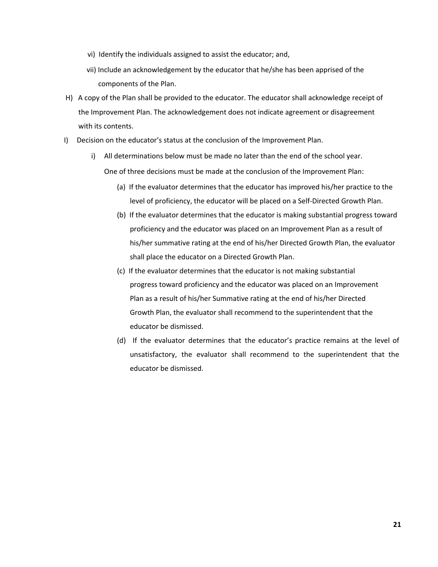- vi) Identify the individuals assigned to assist the educator; and,
- vii) Include an acknowledgement by the educator that he/she has been apprised of the components of the Plan.
- H) A copy of the Plan shall be provided to the educator. The educator shall acknowledge receipt of the Improvement Plan. The acknowledgement does not indicate agreement or disagreement with its contents.
- I) Decision on the educator's status at the conclusion of the Improvement Plan.
	- i) All determinations below must be made no later than the end of the school year. One of three decisions must be made at the conclusion of the Improvement Plan:
		- (a) If the evaluator determines that the educator has improved his/her practice to the level of proficiency, the educator will be placed on a Self-Directed Growth Plan.
		- (b) If the evaluator determines that the educator is making substantial progress toward proficiency and the educator was placed on an Improvement Plan as a result of his/her summative rating at the end of his/her Directed Growth Plan, the evaluator shall place the educator on a Directed Growth Plan.
		- (c) If the evaluator determines that the educator is not making substantial progress toward proficiency and the educator was placed on an Improvement Plan as a result of his/her Summative rating at the end of his/her Directed Growth Plan, the evaluator shall recommend to the superintendent that the educator be dismissed.
		- (d) If the evaluator determines that the educator's practice remains at the level of unsatisfactory, the evaluator shall recommend to the superintendent that the educator be dismissed.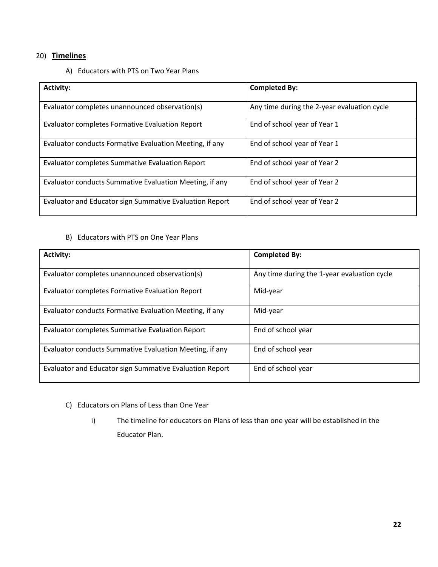# 20) **Timelines**

A) Educators with PTS on Two Year Plans

| <b>Activity:</b>                                        | <b>Completed By:</b>                        |
|---------------------------------------------------------|---------------------------------------------|
| Evaluator completes unannounced observation(s)          | Any time during the 2-year evaluation cycle |
| <b>Evaluator completes Formative Evaluation Report</b>  | End of school year of Year 1                |
| Evaluator conducts Formative Evaluation Meeting, if any | End of school year of Year 1                |
| <b>Evaluator completes Summative Evaluation Report</b>  | End of school year of Year 2                |
| Evaluator conducts Summative Evaluation Meeting, if any | End of school year of Year 2                |
| Evaluator and Educator sign Summative Evaluation Report | End of school year of Year 2                |

# B) Educators with PTS on One Year Plans

| <b>Activity:</b>                                        | <b>Completed By:</b>                        |
|---------------------------------------------------------|---------------------------------------------|
| Evaluator completes unannounced observation(s)          | Any time during the 1-year evaluation cycle |
| Evaluator completes Formative Evaluation Report         | Mid-year                                    |
| Evaluator conducts Formative Evaluation Meeting, if any | Mid-year                                    |
| Evaluator completes Summative Evaluation Report         | End of school year                          |
| Evaluator conducts Summative Evaluation Meeting, if any | End of school year                          |
| Evaluator and Educator sign Summative Evaluation Report | End of school year                          |

- C) Educators on Plans of Less than One Year
	- i) The timeline for educators on Plans of less than one year will be established in the Educator Plan.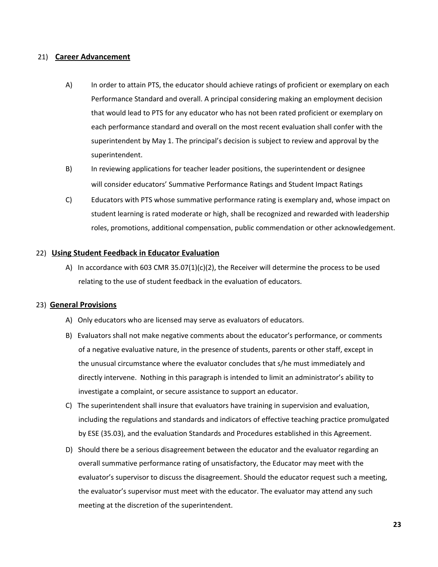#### 21) **Career Advancement**

- A) In order to attain PTS, the educator should achieve ratings of proficient or exemplary on each Performance Standard and overall. A principal considering making an employment decision that would lead to PTS for any educator who has not been rated proficient or exemplary on each performance standard and overall on the most recent evaluation shall confer with the superintendent by May 1. The principal's decision is subject to review and approval by the superintendent.
- B) In reviewing applications for teacher leader positions, the superintendent or designee will consider educators' Summative Performance Ratings and Student Impact Ratings
- C) Educators with PTS whose summative performance rating is exemplary and, whose impact on student learning is rated moderate or high, shall be recognized and rewarded with leadership roles, promotions, additional compensation, public commendation or other acknowledgement.

#### 22) **Using Student Feedback in Educator Evaluation**

A) In accordance with 603 CMR 35.07(1)(c)(2), the Receiver will determine the process to be used relating to the use of student feedback in the evaluation of educators.

#### 23) **General Provisions**

- A) Only educators who are licensed may serve as evaluators of educators.
- B) Evaluators shall not make negative comments about the educator's performance, or comments of a negative evaluative nature, in the presence of students, parents or other staff, except in the unusual circumstance where the evaluator concludes that s/he must immediately and directly intervene. Nothing in this paragraph is intended to limit an administrator's ability to investigate a complaint, or secure assistance to support an educator.
- C) The superintendent shall insure that evaluators have training in supervision and evaluation, including the regulations and standards and indicators of effective teaching practice promulgated by ESE (35.03), and the evaluation Standards and Procedures established in this Agreement.
- D) Should there be a serious disagreement between the educator and the evaluator regarding an overall summative performance rating of unsatisfactory, the Educator may meet with the evaluator's supervisor to discuss the disagreement. Should the educator request such a meeting, the evaluator's supervisor must meet with the educator. The evaluator may attend any such meeting at the discretion of the superintendent.